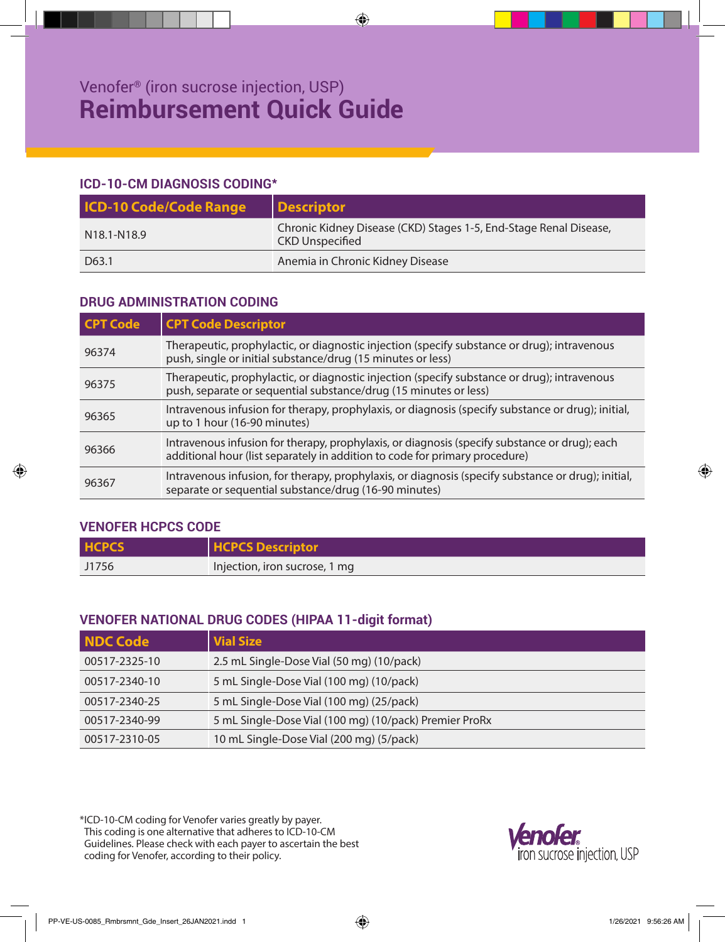# **ICD-10-CM DIAGNOSIS CODING\***

| <b>ICD-10 Code/Code Range</b>        | Descriptor                                                                                  |
|--------------------------------------|---------------------------------------------------------------------------------------------|
| N <sub>18.1</sub> -N <sub>18.9</sub> | Chronic Kidney Disease (CKD) Stages 1-5, End-Stage Renal Disease,<br><b>CKD Unspecified</b> |
| D63.1                                | Anemia in Chronic Kidney Disease                                                            |

# **DRUG ADMINISTRATION CODING**

| <b>CPT Code</b> | <b>CPT Code Descriptor</b>                                                                                                                                                   |
|-----------------|------------------------------------------------------------------------------------------------------------------------------------------------------------------------------|
| 96374           | Therapeutic, prophylactic, or diagnostic injection (specify substance or drug); intravenous<br>push, single or initial substance/drug (15 minutes or less)                   |
| 96375           | Therapeutic, prophylactic, or diagnostic injection (specify substance or drug); intravenous<br>push, separate or sequential substance/drug (15 minutes or less)              |
| 96365           | Intravenous infusion for therapy, prophylaxis, or diagnosis (specify substance or drug); initial,<br>up to 1 hour (16-90 minutes)                                            |
| 96366           | Intravenous infusion for therapy, prophylaxis, or diagnosis (specify substance or drug); each<br>additional hour (list separately in addition to code for primary procedure) |
| 96367           | Intravenous infusion, for therapy, prophylaxis, or diagnosis (specify substance or drug); initial,<br>separate or sequential substance/drug (16-90 minutes)                  |

# **VENOFER HCPCS CODE**

| <b>HCPCS</b> | <b>HCPCS Descriptor</b>       |
|--------------|-------------------------------|
| J1756        | Injection, iron sucrose, 1 mg |

# **VENOFER NATIONAL DRUG CODES (HIPAA 11-digit format)**

| <b>NDC Code</b> | <b>Vial Size</b>                                       |
|-----------------|--------------------------------------------------------|
| 00517-2325-10   | 2.5 mL Single-Dose Vial (50 mg) (10/pack)              |
| 00517-2340-10   | 5 mL Single-Dose Vial (100 mg) (10/pack)               |
| 00517-2340-25   | 5 mL Single-Dose Vial (100 mg) (25/pack)               |
| 00517-2340-99   | 5 mL Single-Dose Vial (100 mg) (10/pack) Premier ProRx |
| 00517-2310-05   | 10 mL Single-Dose Vial (200 mg) (5/pack)               |

\*ICD-10-CM coding for Venofer varies greatly by payer. This coding is one alternative that adheres to ICD-10-CM Guidelines. Please check with each payer to ascertain the best coding for Venofer, according to their policy.